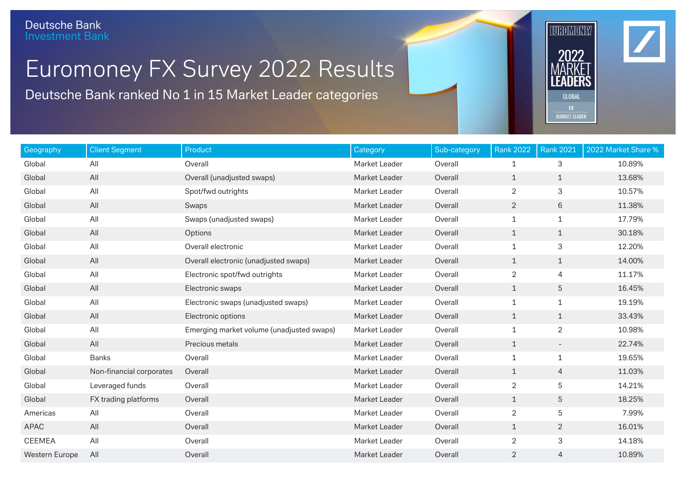## Euromoney FX Survey 2022 Results

Deutsche Bank ranked No 1 in 15 Market Leader categories

| Geography             | <b>Client Segment</b>    | Product                                   | <b>Category</b> | Sub-category | <b>Rank 2022</b> | <b>Rank 2021</b> | 2022 Market Share % |
|-----------------------|--------------------------|-------------------------------------------|-----------------|--------------|------------------|------------------|---------------------|
| Global                | All                      | Overall                                   | Market Leader   | Overall      | $\mathbf{1}$     | 3                | 10.89%              |
| Global                | All                      | Overall (unadjusted swaps)                | Market Leader   | Overall      | $\mathbf{1}$     | $\mathbf{1}$     | 13.68%              |
| Global                | All                      | Spot/fwd outrights                        | Market Leader   | Overall      | $\overline{2}$   | 3                | 10.57%              |
| Global                | All                      | Swaps                                     | Market Leader   | Overall      | $\sqrt{2}$       | 6                | 11.38%              |
| Global                | All                      | Swaps (unadjusted swaps)                  | Market Leader   | Overall      | $1\,$            | $\mathbf{1}$     | 17.79%              |
| Global                | All                      | Options                                   | Market Leader   | Overall      | $\mathbf{1}$     | $\mathbf{1}$     | 30.18%              |
| Global                | All                      | Overall electronic                        | Market Leader   | Overall      | $\mathbf{1}$     | 3                | 12.20%              |
| Global                | All                      | Overall electronic (unadjusted swaps)     | Market Leader   | Overall      | $\mathbf{1}$     | $\mathbf{1}$     | 14.00%              |
| Global                | All                      | Electronic spot/fwd outrights             | Market Leader   | Overall      | $\overline{2}$   | 4                | 11.17%              |
| Global                | All                      | Electronic swaps                          | Market Leader   | Overall      | $\mathbf{1}$     | 5                | 16.45%              |
| Global                | All                      | Electronic swaps (unadjusted swaps)       | Market Leader   | Overall      | 1                | $\mathbf{1}$     | 19.19%              |
| Global                | All                      | Electronic options                        | Market Leader   | Overall      | $\mathbf{1}$     | $\mathbf{1}$     | 33.43%              |
| Global                | All                      | Emerging market volume (unadjusted swaps) | Market Leader   | Overall      | $1\,$            | $\overline{2}$   | 10.98%              |
| Global                | All                      | Precious metals                           | Market Leader   | Overall      | $\mathbf{1}$     | $ \,$            | 22.74%              |
| Global                | <b>Banks</b>             | Overall                                   | Market Leader   | Overall      | 1                | $\mathbf{1}$     | 19.65%              |
| Global                | Non-financial corporates | Overall                                   | Market Leader   | Overall      | $\mathbf{1}$     | 4                | 11.03%              |
| Global                | Leveraged funds          | Overall                                   | Market Leader   | Overall      | $\overline{2}$   | 5                | 14.21%              |
| Global                | FX trading platforms     | Overall                                   | Market Leader   | Overall      | $\mathbf 1$      | 5                | 18.25%              |
| Americas              | All                      | Overall                                   | Market Leader   | Overall      | $\overline{2}$   | 5                | 7.99%               |
| <b>APAC</b>           | All                      | Overall                                   | Market Leader   | Overall      | $\mathbf 1$      | $\overline{2}$   | 16.01%              |
| <b>CEEMEA</b>         | All                      | Overall                                   | Market Leader   | Overall      | $\overline{2}$   | 3                | 14.18%              |
| <b>Western Europe</b> | All                      | Overall                                   | Market Leader   | Overall      | $\overline{2}$   | 4                | 10.89%              |

EUROMONEY

2022

GLOBAL

**MARKET LEADER**